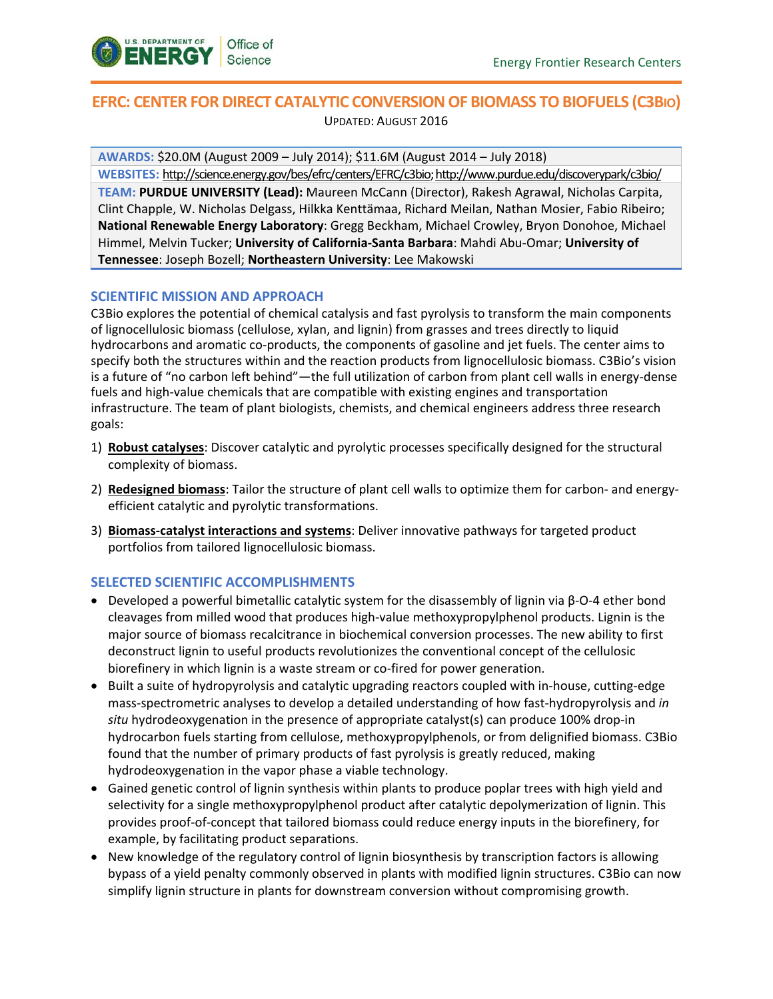

# **EFRC: CENTER FOR DIRECT CATALYTIC CONVERSION OF BIOMASS TO BIOFUELS (C3BIO)** UPDATED: AUGUST 2016

**AWARDS:** \$20.0M (August 2009 – July 2014); \$11.6M (August 2014 – July 2018)

**WEBSITES:** [http://science.energy.gov/bes/efrc/centers/EFRC/c](http://science.energy.gov/bes/efrc/centers/EFRC/)3bio; http://www.purdue.edu/discoverypark/c3bio/ **TEAM: PURDUE UNIVERSITY (Lead):** Maureen McCann (Director), Rakesh Agrawal, Nicholas Carpita, Clint Chapple, W. Nicholas Delgass, Hilkka Kenttämaa, Richard Meilan, Nathan Mosier, Fabio Ribeiro; **National Renewable Energy Laboratory**: Gregg Beckham, Michael Crowley, Bryon Donohoe, Michael Himmel, Melvin Tucker; **University of California-Santa Barbara**: Mahdi Abu-Omar; **University of Tennessee**: Joseph Bozell; **Northeastern University**: Lee Makowski

## **SCIENTIFIC MISSION AND APPROACH**

C3Bio explores the potential of chemical catalysis and fast pyrolysis to transform the main components of lignocellulosic biomass (cellulose, xylan, and lignin) from grasses and trees directly to liquid hydrocarbons and aromatic co-products, the components of gasoline and jet fuels. The center aims to specify both the structures within and the reaction products from lignocellulosic biomass. C3Bio's vision is a future of "no carbon left behind"—the full utilization of carbon from plant cell walls in energy-dense fuels and high-value chemicals that are compatible with existing engines and transportation infrastructure. The team of plant biologists, chemists, and chemical engineers address three research goals:

- 1) **Robust catalyses**: Discover catalytic and pyrolytic processes specifically designed for the structural complexity of biomass.
- 2) **Redesigned biomass**: Tailor the structure of plant cell walls to optimize them for carbon- and energyefficient catalytic and pyrolytic transformations.
- 3) **Biomass-catalyst interactions and systems**: Deliver innovative pathways for targeted product portfolios from tailored lignocellulosic biomass.

## **SELECTED SCIENTIFIC ACCOMPLISHMENTS**

- Developed a powerful bimetallic catalytic system for the disassembly of lignin via β-O-4 ether bond cleavages from milled wood that produces high-value methoxypropylphenol products. Lignin is the major source of biomass recalcitrance in biochemical conversion processes. The new ability to first deconstruct lignin to useful products revolutionizes the conventional concept of the cellulosic biorefinery in which lignin is a waste stream or co-fired for power generation.
- Built a suite of hydropyrolysis and catalytic upgrading reactors coupled with in-house, cutting-edge mass-spectrometric analyses to develop a detailed understanding of how fast-hydropyrolysis and *in situ* hydrodeoxygenation in the presence of appropriate catalyst(s) can produce 100% drop-in hydrocarbon fuels starting from cellulose, methoxypropylphenols, or from delignified biomass. C3Bio found that the number of primary products of fast pyrolysis is greatly reduced, making hydrodeoxygenation in the vapor phase a viable technology.
- Gained genetic control of lignin synthesis within plants to produce poplar trees with high yield and selectivity for a single methoxypropylphenol product after catalytic depolymerization of lignin. This provides proof-of-concept that tailored biomass could reduce energy inputs in the biorefinery, for example, by facilitating product separations.
- New knowledge of the regulatory control of lignin biosynthesis by transcription factors is allowing bypass of a yield penalty commonly observed in plants with modified lignin structures. C3Bio can now simplify lignin structure in plants for downstream conversion without compromising growth.